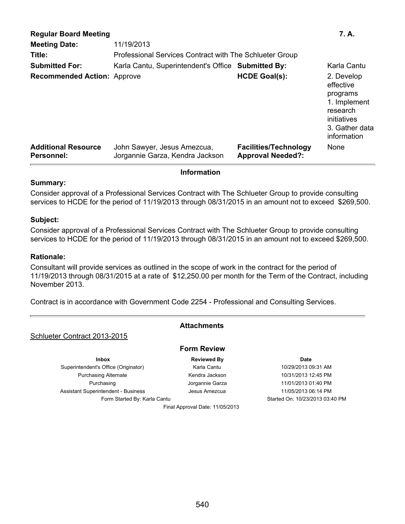| <b>Regular Board Meeting</b><br><b>Meeting Date:</b> | 11/19/2013                                                     |                                                          | 7. A.                                                                                                           |
|------------------------------------------------------|----------------------------------------------------------------|----------------------------------------------------------|-----------------------------------------------------------------------------------------------------------------|
| Title:                                               | Professional Services Contract with The Schlueter Group        |                                                          |                                                                                                                 |
| <b>Submitted For:</b>                                | Karla Cantu, Superintendent's Office Submitted By:             |                                                          | Karla Cantu                                                                                                     |
| <b>Recommended Action: Approve</b>                   |                                                                | <b>HCDE Goal(s):</b>                                     | 2. Develop<br>effective<br>programs<br>1. Implement<br>research<br>initiatives<br>3. Gather data<br>information |
| <b>Additional Resource</b><br><b>Personnel:</b>      | John Sawyer, Jesus Amezcua,<br>Jorgannie Garza, Kendra Jackson | <b>Facilities/Technology</b><br><b>Approval Needed?:</b> | None                                                                                                            |

# **Information**

# **Summary:**

Consider approval of a Professional Services Contract with The Schlueter Group to provide consulting services to HCDE for the period of 11/19/2013 through 08/31/2015 in an amount not to exceed \$269,500.

#### **Subject:**

Consider approval of a Professional Services Contract with The Schlueter Group to provide consulting services to HCDE for the period of 11/19/2013 through 08/31/2015 in an amount not to exceed \$269,500.

# **Rationale:**

Consultant will provide services as outlined in the scope of work in the contract for the period of 11/19/2013 through 08/31/2015 at a rate of \$12,250.00 per month for the Term of the Contract, including November 2013.

Contract is in accordance with Government Code 2254 - Professional and Consulting Services.

# **Attachments**

**Form Review**

Final Approval Date: 11/05/2013

# Schlueter Contract 2013-2015

**Inbox CONSISTENT BY Reviewed By Date Date** Superintendent's Office (Originator) Karla Cantu 10/29/2013 09:31 AM Purchasing Alternate **Kendra Jackson** 10/31/2013 12:45 PM Purchasing **11/01/2013 01:40 PM** Jorgannie Garza 11/01/2013 01:40 PM Assistant Superintendent - Business **Alexander Superintendent** - Business Jesus Amezcua 11/05/2013 06:14 PM

Form Started By: Karla Cantu Started On: 10/23/2013 03:40 PM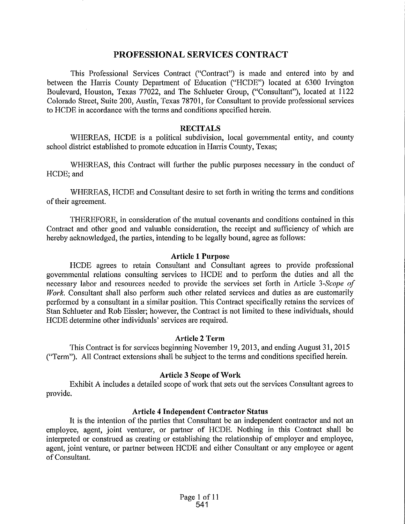# **PROFESSIONAL SERVICES CONTRACT**

This Professional Services Contract ("Contract") is made and entered into by and between the Harris County Department of Education ("HCDE") located at 6300 Irvington Boulevard, Houston, Texas 77022, and The Schlueter Group, ("Consultant"), located at 1122 Colorado Street, Suite 200, Austin, Texas 78701, for Consultant to provide professional services to HCDE in accordance with the terms and conditions specified herein.

# **RECITALS**

WHEREAS, HCDE is a political subdivision, local governmental entity, and county school district established to promote education in Harris County, Texas;

WHEREAS, this Contract will further the public purposes necessary in the conduct of HCDE; and

WHEREAS, HCDE and Consultant desire to set forth in writing the terms and conditions of their agreement.

THEREFORE, in consideration of the mutual covenants and conditions contained in this Contract and other good and valuable consideration, the receipt and sufficiency of which are hereby acknowledged, the parties, intending to be legally bound, agree as follows:

#### **Article 1 Purpose**

HCDE agrees to retain Consultant and Consultant agrees to provide professional governmental relations consulting services to HCDE and to perform the duties and all the necessary labor and resources needed to provide the services set forth in Article 3-Scope of *Work.* Consultant shall also perform such other related services and duties as are customarily performed by a consultant in a similar position. This Contract specifically retains the services of Stan Schlueter and Rob Eissler; however, the Contract is not limited to these individuals, should HCDE determine other individuals' services are required.

# **Article 2 Term**

This Contract is for services beginning November 19, 2013, and ending August 31, 2015 ("Term"). All Contract extensions shall be subject to the terms and conditions specified herein.

# **Article 3 Scope of Work**

Exhibit A includes a detailed scope of work that sets out the services Consultant agrees to provide.

#### **Article 4 Independent Contractor Status**

It is the intention of the patties that Consultant be an independent contractor and not an employee, agent, joint venturer, or partner of HCDE. Nothing in this Contract shall be interpreted or construed as creating or establishing the relationship of employer and employee, agent, joint venture, or partner between HCDE and either Consultant or any employee or agent of Consultant.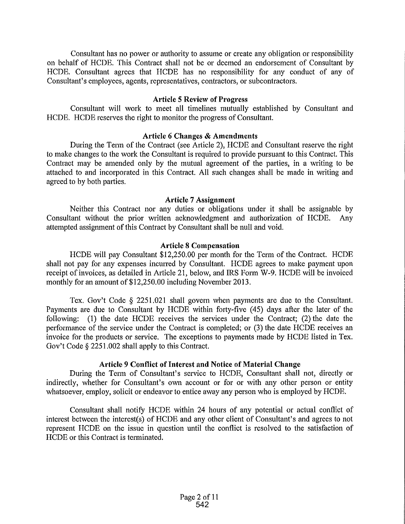Consultant has no power or authority to assume or create any obligation or responsibility on behalf of HCDE. This Contract shall not be or deemed an endorsement of Consultant by HCDE. Consultant agrees that HCDE has no responsibility for any conduct of any of Consultant's employees, agents, representatives, contractors, or subcontractors.

# **Article 5 Review of Progress**

Consultant will work to meet all timelines mutually established by Consultant and HCDE. HCDE reserves the right to monitor the progress of Consultant.

# **Article 6 Changes & Amendments**

During the Term of the Contract (see Article 2), HCDE and Consultant reserve the right to make changes to the work the Consultant is required to provide pursuant to this Contract. This Contract may be amended only by the mutual agreement of the parties, in a writing to be attached to and incorporated in this Contract. All such changes shall be made in writing and agreed to by both parties.

#### **Article 7 Assignment**

Neither this Contract nor any duties or obligations under it shall be assignable by Consultant without the prior written acknowledgment and authorization of HCDE. Any attempted assignment of this Contract by Consultant shall be null and void.

# **Article 8 Compensation**

HCDE will pay Consultant \$12,250.00 per month for the Term of the Contract. HCDE shall not pay for any expenses incurred by Consultant. HCDE agrees to make payment upon receipt of invoices, as detailed in Article 21, below, and IRS Form W-9. HCDE will be invoiced monthly for an amount of \$12,250.00 including November 2013.

Tex. Gov't Code § 2251.021 shall govern when payments are due to the Consultant. Payments are due to Consultant by HCDE within forty-five (45) days after the later of the following: (1) the date HCDE receives the services under the Contract; (2) the date the performance of the service under the Contract is completed; or (3) the date HCDE receives an invoice for the products or service. The exceptions to payments made by HCDE listed in Tex. Gov't Code§ 2251.002 shall apply to this Contract.

# Article 9 Conflict of Interest and Notice of Material Change

During the Term of Consultant's service to HCDE, Consultant shall not, directly or indirectly, whether for Consultant's own account or for or with any other person or entity whatsoever, employ, solicit or endeavor to entice away any person who is employed by HCDE.

Consultant shall notify HCDE within 24 hours of any potential or actual conflict of interest between the interest(s) of HCDE and any other client of Consultant's and agrees to not represent HCDE on the issue in question until the conflict is resolved to the satisfaction of HCDE or this Contract is terminated.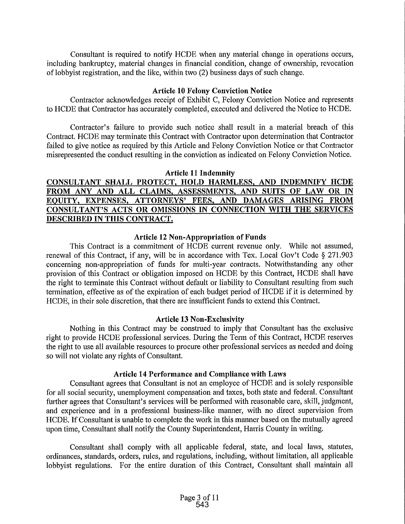Consultant is required to notify HCDE when any material change in operations occurs, including bankruptcy, material changes in financial condition, change of ownership, revocation of lobbyist registration, and the like, within two (2) business days of such change.

# **Article 10 Felony Conviction Notice**

Contractor acknowledges receipt of Exhibit C, Felony Conviction Notice and represents to HCDE that Contractor has accurately completed, executed and delivered the Notice to HCDE.

Contractor's failure to provide such notice shall result in a material breach of this Contract. HCDE may terminate this Contract with Contractor upon determination that Contractor failed to give notice as required by this Article and Felony Conviction Notice or that Contractor misrepresented the conduct resulting in the conviction as indicated on Felony Conviction Notice.

# **Article 11 Indemnity**

# **CONSULTANT SHALL PROTECT, HOLD HARMLESS, AND INDEMNIFY HCDE FROM ANY AND ALL CLAIMS, ASSESSMENTS, AND SUITS OF LAW OR IN EQUITY, EXPENSES, ATTORNEYS' FEES, AND DAMAGES ARISING FROM CONSULTANT'S ACTS OR OMISSIONS IN CONNECTION WITH THE SERVICES DESCRIBED IN THIS CONTRACT.**

# **Article 12 Non-Appropriation of Funds**

This Contract is a commitment of HCDE current revenue only. While not assumed, renewal of this Contract, if any, will be in accordance with Tex. Local Gov't Code § 271.903 concerning non-appropriation of funds for multi-year contracts. Notwithstanding any other provision of this Contract or obligation imposed on HCDE by this Contract, HCDE shall have the right to terminate this Contract without default or liability to Consultant resulting from such termination, effective as of the expiration of each budget period of HCDE if it is determined by HCDE, in their sole discretion, that there are insufficient funds to extend this Contract.

# **Article 13 Non-Exclusivity**

Nothing in this Contract may be construed to imply that Consultant has the exclusive right to provide HCDE professional services. During the Term of this Contract, HCDE reserves the right to use all available resources to procure other professional services as needed and doing so will not violate any rights of Consultant.

# **Article 14 Performance and Compliance with Laws**

Consultant agrees that Consultant is not an employee of HCDE and is solely responsible for all social security, unemployment compensation and taxes, both state and federal. Consultant further agrees that Consultant's services will be performed with reasonable care, skill, judgment, and experience and in a professional business-like manner, with no direct supervision from HCDE. If Consultant is unable to complete the work in this manner based on the mutually agreed upon time, Consultant shall notify the County Superintendent, Harris County in writing.

Consultant shall comply with all applicable federal, state, and local laws, statutes, ordinances, standards, orders, rules, and regulations, including, without limitation, all applicable lobbyist regulations. For the entire duration of this Contract, Consultant shall maintain all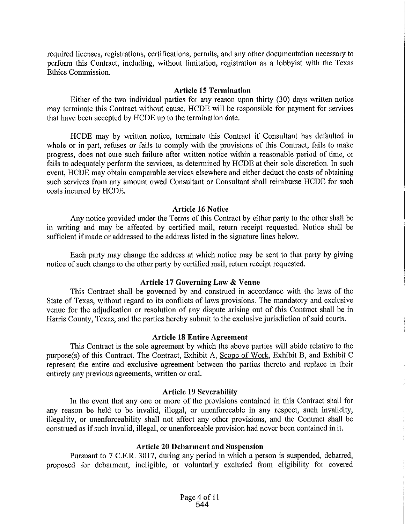required licenses, registrations, certifications, permits, and any other documentation necessary to perform this Contract, including, without limitation, registration as a lobbyist with the Texas Ethics Commission.

#### **Article 15 Termination**

Either of the two individual parties for any reason upon thirty (30) days written notice may terminate this Contract without cause. HCDE will be responsible for payment for services that have been accepted by HCDE up to the termination date.

HCDE may by written notice, terminate this Contract if Consultant has defaulted in whole or in part, refuses or fails to comply with the provisions of this Contract, fails to make progress, does not cure such failure after written notice within a reasonable period of time, or fails to adequately perform the services, as determined by HCDE at their sole discretion. In such event, HCDE may obtain comparable services elsewhere and either deduct the costs of obtaining such services from any amount owed Consultant or Consultant shall reimburse HCDE for such costs incurred by HCDE.

# **Article 16 Notice**

Any notice provided under the Terms of this Contract by either party to the other shall be in writing and may be affected by certified mail, return receipt requested. Notice shall be sufficient if made or addressed to the address listed in the signature lines below.

Each party may change the address at which notice may be sent to that party by giving notice of such change to the other patty by certified mail, return receipt requested.

# **Article 17 Goveming Law & Venue**

This Contract shall be governed by and construed in accordance with the laws of the State of Texas, without regard to its conflicts of laws provisions. The mandatory and exclusive venue for the adjudication or resolution of any dispute arising out of this Contract shall be in Harris County, Texas, and the parties hereby submit to the exclusive jurisdiction of said courts.

#### **Article 18 Entire Agreement**

This Contract is the sole agreement by which the above parties will abide relative to the purpose(s) of this Contract. The Contract, Exhibit A, Scope of Work, Exhibit B, and Exhibit C represent the entire and exclusive agreement between the parties thereto and replace in their entirety any previous agreements, written or oral.

#### **Article 19 Severability**

In the event that any one or more of the provisions contained in this Contract shall for any reason be held to be invalid, illegal, or unenforceable in any respect, such invalidity, illegality, or unenforceability shall not affect any other provisions, and the Contract shall be construed as if such invalid, illegal, or unenforceable provision had never been contained in it.

# **Article 20 Debarment and Suspension**

Pursuant to 7 C.F.R. 3017, during any period in which a person is suspended, debarred, proposed for debarment, ineligible, or voluntarily excluded from eligibility for covered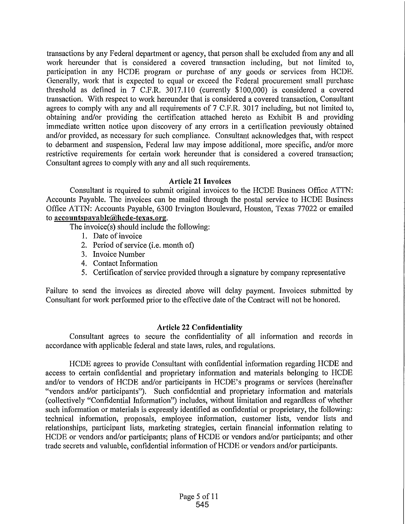transactions by any Federal department or agency, that person shall be excluded from any and all work hereunder that is considered a covered transaction including, but not limited to, participation in any HCDE program or purchase of any goods or services from HCDE. Generally, work that is expected to equal or exceed the Federal procurement small purchase threshold as defined in 7 C.P.R. 3017.110 (currently \$100,000) is considered a covered transaction. With respect to work hereunder that is considered a covered transaction, Consultant agrees to comply with any and all requirements of 7 C.P.R. 3017 including, but not limited to, obtaining and/or providing the certification attached hereto as Exhibit B and providing immediate written notice upon discovery of any errors in a certification previously obtained and/or provided, as necessary for such compliance. Consultant acknowledges that, with respect to debarment and suspension, Federal law may impose additional, more specific, and/or more restrictive requirements for certain work hereunder that is considered a covered transaction; Consultant agrees to comply with any and all such requirements.

# **Article 21 Invoices**

Consultant is required to submit original invoices to the HCDE Business Office ATTN: Accounts Payable. The invoices can be mailed through the postal service to HCDE Business Office ATTN: Accounts Payable, 6300 Irvington Boulevard, Houston, Texas 77022 or emailed to **accountspayable@ltcde-texas.org.** 

The invoice(s) should include the following:

- I. Date of invoice
- 2. Period of service (i.e. month of)
- 3. Invoice Number
- 4. Contact Information
- 5. Certification of service provided through a signature by company representative

Failure to send the invoices as directed above will delay payment. Invoices submitted by Consultant for work performed prior to the effective date of the Contract will not be honored.

# **Article 22 Confidentiality**

Consultant agrees to secure the confidentiality of all information and records in accordance with applicable federal and state laws, rules, and regulations.

HCDE agrees to provide Consultant with confidential information regarding HCDE and access to cettain confidential and proprietary information and materials belonging to HCDE and/or to vendors of HCDE and/or participants in HCDE's programs or services (hereinafter "vendors and/or participants"). Such confidential and proprietary information and materials (collectively "Confidential Information") includes, without limitation and regardless of whether such information or materials is expressly identified as confidential or proprietary, the following: technical information, proposals, employee information, customer lists, vendor lists and relationships, participant lists, marketing strategies, certain financial information relating to HCDE or vendors and/or participants; plans of HCDE or vendors and/or participants; and other trade secrets and valuable, confidential information of HCDE or vendors and/or participants.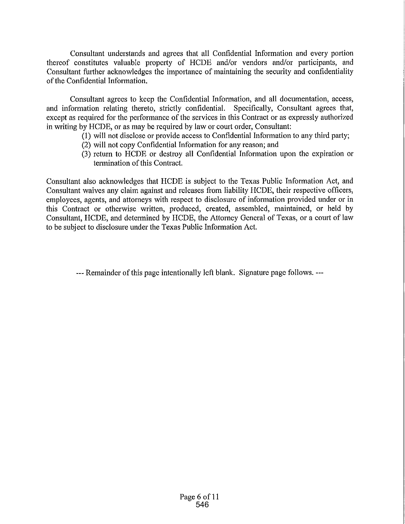Consultant understands and agrees that all Confidential Information and every portion thereof constitutes valuable property of HCDE and/or vendors and/or participants, and Consultant futiher acknowledges the importance of maintaining the security and confidentiality of the Confidential Information.

Consultant agrees to keep the Confidential Information, and all documentation, access, and information relating thereto, strictly confidential. Specifically, Consultant agrees that, except as required for the performance of the services in this Contract or as expressly authorized in writing by HCDE, or as may be required by law or court order, Consultant:

- (1) will not disclose or provide access to Confidential Information to any third party;
- (2) will not copy Confidential Information for any reason; and
- $(3)$  return to  $\widehat{H}CDE$  or destroy all Confidential Information upon the expiration or termination of this Contract.

Consultant also acknowledges that HCDE is subject to the Texas Public Information Act, and Consultant waives any claim against and releases from liability HCDE, their respective officers, employees, agents, and attomeys with respect to disclosure of information provided under or in this Contract or otherwise written, produced, created, assembled, maintained, or held by Consultant, HCDE, and determined by HCDE, the Attomey General of Texas, or a court of law to be subject to disclosure under the Texas Public Information Act.

---Remainder of this page intentionally left blank. Signature page follows. ---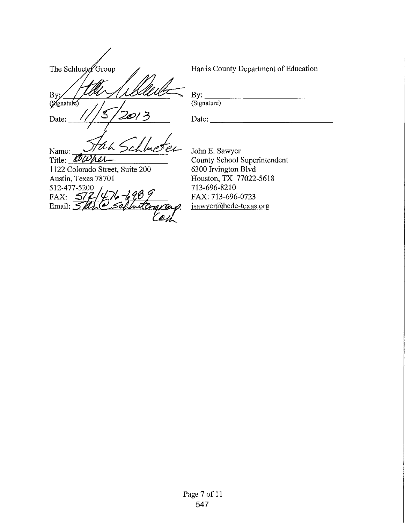The Schlueter Group **By** (Mgnature)

Harris County Department of Education

 $By:   
\n(Signature)$ 

Date:

th < SCI Name: Title:  $\mathscr{Q}\mathscr{U}$ И ОЛ

1122 Colorado Street, Suite 200 Austin, Texas 78701 512-477-5200 FAX:  $\frac{577}{2}$  $6 - 698$ Email:  $512$ 'a

Date: \_\_\_\_\_\_\_\_\_\_\_ \_

John E. Sawyer County School Superintendent 6300 Irvington Blvd Houston, TX 77022-5618 713-696-8210 FAX: 713-696-0723 jsawyer@hcde-texas.org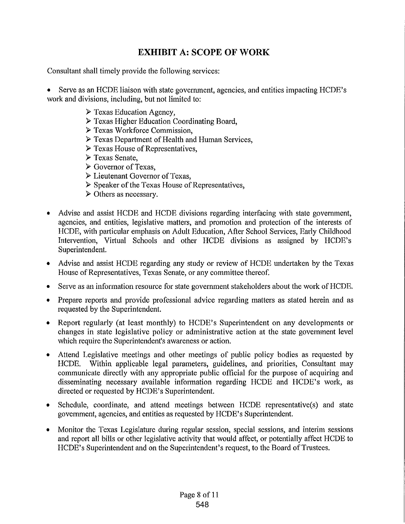# **EXHIBIT A: SCOPE OF WORK**

Consultant shall timely provide the following services:

• Serve as an HCDE liaison with state government, agencies, and entities impacting HCDE's work and divisions, including, but not limited to:

- $\triangleright$  Texas Education Agency,
- $\triangleright$  Texas Higher Education Coordinating Board,
- ~Texas Workforce Commission,
- $\triangleright$  Texas Department of Health and Human Services,
- $\triangleright$  Texas House of Representatives,
- $\triangleright$  Texas Senate,
- <sup>~</sup>Governor of Texas,
- ~Lieutenant Governor of Texas,
- $\triangleright$  Speaker of the Texas House of Representatives,
- <sup>~</sup>Others as necessary.
- Advise and assist HCDE and HCDE divisions regarding interfacing with state govemment, agencies, and entities, legislative matters, and promotion and protection of the interests of HCDE, with patticular emphasis on Adult Education, After School Services, Early Childhood Intervention, Vittual Schools and other HCDE divisions as assigned by HCDE's Superintendent.
- Advise and assist HCDE regarding any study or review of HCDE undertaken by the Texas House of Representatives, Texas Senate, or any committee thereof.
- Serve as an information resource for state government stakeholders about the work of HCDE.
- Prepare reports and provide professional advice regarding matters as stated herein and as requested by the Superintendent.
- Report regularly (at least monthly) to HCDE's Superintendent on any developments or changes in state legislative policy or administrative action at the state govemment level which require the Superintendent's awareness or action.
- Attend Legislative meetings and other meetings of public policy bodies as requested by HCDE. Within applicable legal parameters, guidelines, and priorities, Consultant may communicate directly with any appropriate public official for the purpose of acquiring and disseminating necessary available information regarding HCDE and HCDE's work, as directed or requested by HCDE's Superintendent.
- Schedule, coordinate, and attend meetings between HCDE representative(s) and state government, agencies, and entities as requested by HCDE's Superintendent.
- Monitor the Texas Legislature during regular session, special sessions, and interim sessions and report all bills or other legislative activity that would affect, or potentially affect HCDE to HCDE's Superintendent and on the Superintendent's request, to the Board of Trustees.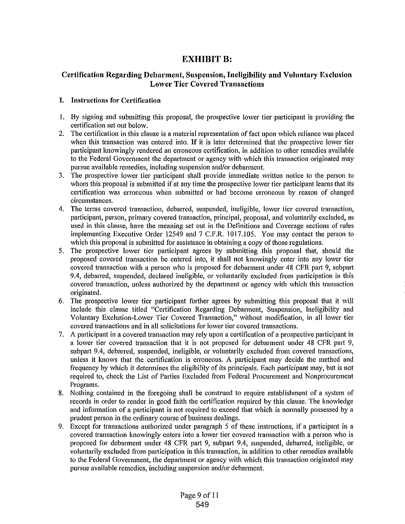# **EXHIBIT B:**

# **Certification Regarding Debarment, Suspension, Ineligibility and Voluntary Exclusion Lower Tier Covered Transactions**

# **I. Instructions for Certification**

- 1. By signing and submitting this proposal, the prospective lower tier participant is providing the cettification set out below.
- 2. The cettification in this clause is a material representation of fact upon which reliance was placed when this transaction was entered into. If it is later determined that the prospective lower tier patticipant knowingly rendered an erroneous certification, in addition to other remedies available to the Federal Government the depattment or agency with which this transaction originated may pursue available remedies, including suspension and/or debarment.
- 3. The prospective lower tier participant shall provide immediate written notice to the person to whom this proposal is submitted if at any time the prospective lower tier patticipant learns that its cettification was erroneous when submitted or had become erroneous by reason of changed circumstances.
- 4. The terms covered transaction, debarred, suspended, ineligible, lower tier covered transaction, participant, person, primary covered transaction, principal, proposal, and voluntarily excluded, as used in this clause, have the meaning set out in the Definitions and Coverage sections of rules implementing Executive Order 12549 and 7 C.F.R. 1017.105. You may contact the person to which this proposal is submitted for assistance in obtaining a copy of those regulations.
- 5. The prospective lower tier patticipant agrees by submitting this proposal that, should the proposed covered transaction be entered into, it shall not knowingly enter into any lower tier covered transaction with a person who is proposed for debarment under 48 CFR part 9, subpart 9.4, debarred, suspended, declared ineligible, or voluntarily excluded from participation in this covered transaction, unless authorized by the depattment or agency with which this transaction originated.
- 6. The prospective lower tier participant further agrees by submitting this proposal that it will include this clause titled "Cettification Regarding Debarment, Suspension, Ineligibility and Voluntary Exclusion-Lower Tier Covered Transaction," without modification, in all lower tier covered transactions and in all solicitations for lower tier covered transactions.
- 7. A participant in a covered transaction may rely upon a certification of a prospective participant in a lower tier covered transaction that it is not proposed for debarment under 48 CFR patt 9, subpatt 9.4, debarred, suspended, ineligible, or voluntarily excluded from covered transactions, unless it knows that the certification is erroneous. A patticipant may decide the method and frequency by which it determines the eligibility of its principals. Each patticipant may, but is not required to, check the List of Patties Excluded from Federal Procurement and Nonprocurement Programs.
- 8. Nothing contained in the foregoing shall be construed to require establishment of a system of records in order to render in good faith the cettification required by this clause. The knowledge and information of a patticipant is not required to exceed that which is normally possessed by a prudent person in the ordinary course of business dealings.
- 9. Except for transactions authorized under paragraph 5 of these instructions, if a patticipant in a covered transaction knowingly enters into a lower tier covered transaction with a person who is proposed for debarment under 48 CFR part 9, subpart 9.4, suspended, debarred, ineligible, or voluntarily excluded from patticipation in this transaction, in addition to other remedies available to the Federal Government, the department or agency with which this transaction originated may pursue available remedies, including suspension and/or debarment.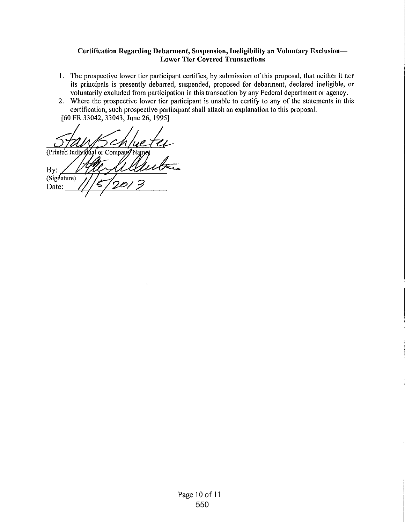# **Certification Regarding Debarment, Suspension, Ineligibility an Voluntary Exclusion-Lower Tier Covered Transactions**

- **1.** The prospective lower tier patticipant cettifies, by submission of this proposal, that neither it nor its principals is presently debarred, suspended, proposed for debarment, declared ineligible, or voluntarily excluded from participation in this transaction by any Federal depattment or agency.
- 2. Where the prospective lower tier participant is unable to cettify to any of the statements in this cettification, such prospective patticipant shall attach an explanation to this proposal.

[60 FR 33042, 33043, June 26, 1995]

(Printed Individual or Company Name By: (Signature) Date: